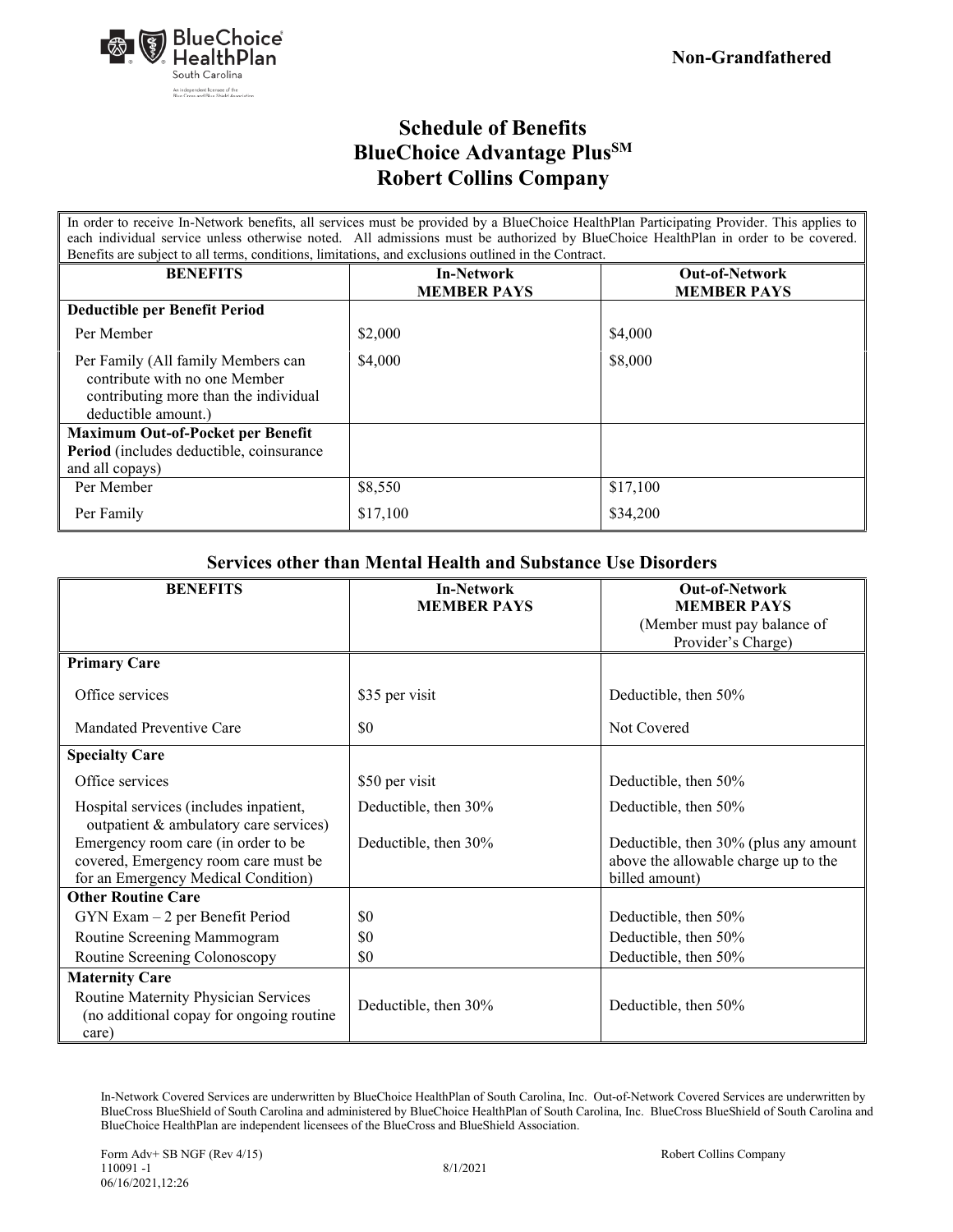

In order to receive In-Network benefits, all services must be provided by a BlueChoice HealthPlan Participating Provider. This applies to each individual service unless otherwise noted. All admissions must be authorized by BlueChoice HealthPlan in order to be covered. Benefits are subject to all terms, conditions, limitations, and exclusions outlined in the Contract.

| Belletits are subject to all terms, conditions, immitations, and exclusions outlined in the Contract.                               |                                         |                                             |
|-------------------------------------------------------------------------------------------------------------------------------------|-----------------------------------------|---------------------------------------------|
| <b>BENEFITS</b>                                                                                                                     | <b>In-Network</b><br><b>MEMBER PAYS</b> | <b>Out-of-Network</b><br><b>MEMBER PAYS</b> |
| <b>Deductible per Benefit Period</b>                                                                                                |                                         |                                             |
| Per Member                                                                                                                          | \$2,000                                 | \$4,000                                     |
| Per Family (All family Members can<br>contribute with no one Member<br>contributing more than the individual<br>deductible amount.) | \$4,000                                 | \$8,000                                     |
| <b>Maximum Out-of-Pocket per Benefit</b>                                                                                            |                                         |                                             |
| Period (includes deductible, coinsurance                                                                                            |                                         |                                             |
| and all copays)                                                                                                                     |                                         |                                             |
| Per Member                                                                                                                          | \$8,550                                 | \$17,100                                    |
| Per Family                                                                                                                          | \$17,100                                | \$34,200                                    |

#### **Services other than Mental Health and Substance Use Disorders**

| <b>BENEFITS</b>                                                                  | <b>In-Network</b>    | <b>Out-of-Network</b>                             |
|----------------------------------------------------------------------------------|----------------------|---------------------------------------------------|
|                                                                                  | <b>MEMBER PAYS</b>   | <b>MEMBER PAYS</b>                                |
|                                                                                  |                      | (Member must pay balance of<br>Provider's Charge) |
| <b>Primary Care</b>                                                              |                      |                                                   |
| Office services                                                                  | \$35 per visit       | Deductible, then 50%                              |
| Mandated Preventive Care                                                         | \$0                  | Not Covered                                       |
| <b>Specialty Care</b>                                                            |                      |                                                   |
| Office services                                                                  | \$50 per visit       | Deductible, then 50%                              |
| Hospital services (includes inpatient,<br>outpatient & ambulatory care services) | Deductible, then 30% | Deductible, then 50%                              |
| Emergency room care (in order to be                                              | Deductible, then 30% | Deductible, then 30% (plus any amount             |
| covered, Emergency room care must be                                             |                      | above the allowable charge up to the              |
| for an Emergency Medical Condition)                                              |                      | billed amount)                                    |
| <b>Other Routine Care</b>                                                        |                      |                                                   |
| $GYN Exam - 2$ per Benefit Period                                                | \$0                  | Deductible, then 50%                              |
| Routine Screening Mammogram                                                      | \$0                  | Deductible, then 50%                              |
| Routine Screening Colonoscopy                                                    | \$0                  | Deductible, then 50%                              |
| <b>Maternity Care</b>                                                            |                      |                                                   |
| Routine Maternity Physician Services                                             |                      |                                                   |
| (no additional copay for ongoing routine)                                        | Deductible, then 30% | Deductible, then 50%                              |
| care)                                                                            |                      |                                                   |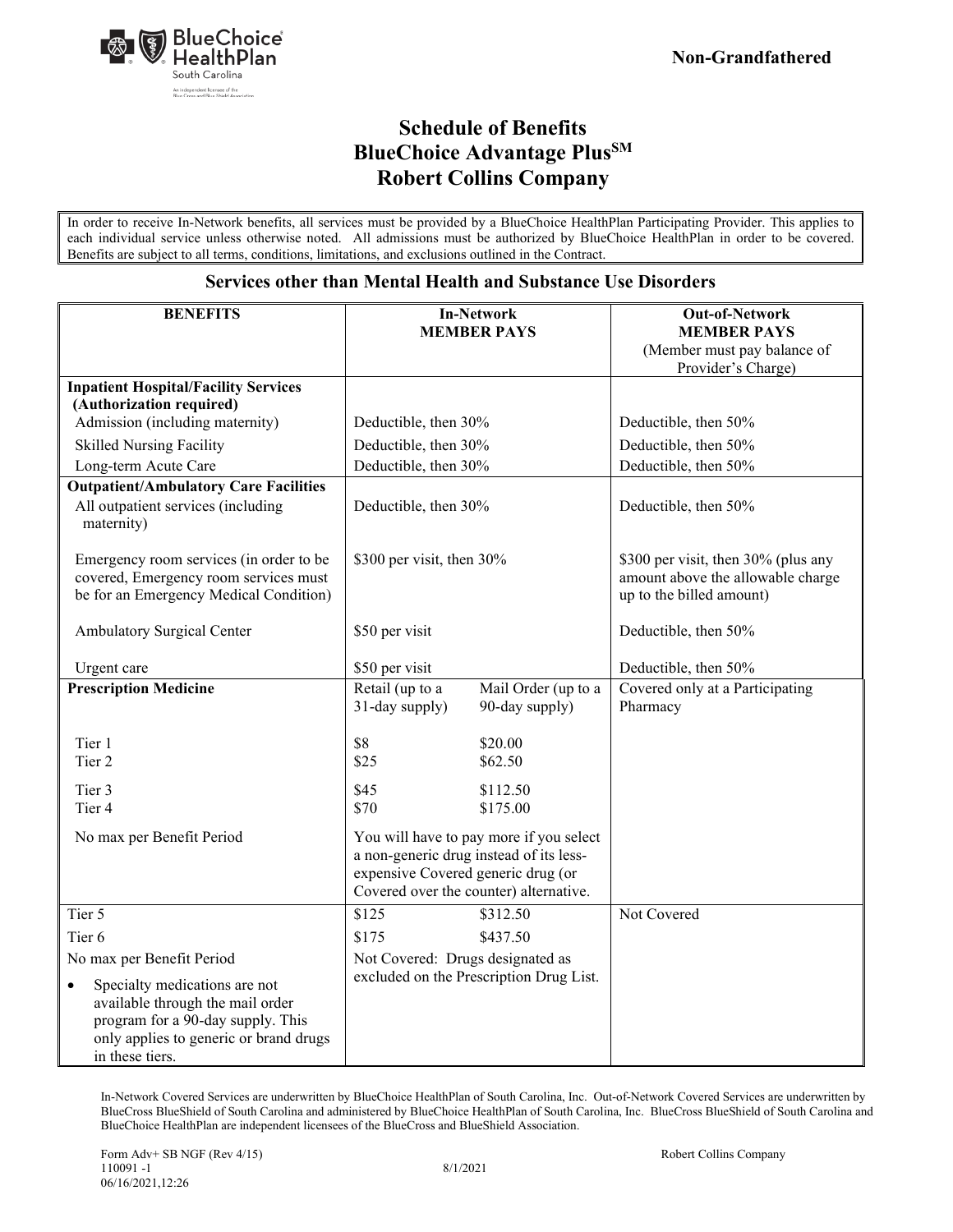

In order to receive In-Network benefits, all services must be provided by a BlueChoice HealthPlan Participating Provider. This applies to each individual service unless otherwise noted. All admissions must be authorized by BlueChoice HealthPlan in order to be covered. Benefits are subject to all terms, conditions, limitations, and exclusions outlined in the Contract.

#### **Services other than Mental Health and Substance Use Disorders**

| <b>BENEFITS</b>                                                                                                                                                                  | <b>In-Network</b><br><b>MEMBER PAYS</b>                                                                                                                            | <b>Out-of-Network</b><br><b>MEMBER PAYS</b><br>(Member must pay balance of<br>Provider's Charge)     |
|----------------------------------------------------------------------------------------------------------------------------------------------------------------------------------|--------------------------------------------------------------------------------------------------------------------------------------------------------------------|------------------------------------------------------------------------------------------------------|
| <b>Inpatient Hospital/Facility Services</b>                                                                                                                                      |                                                                                                                                                                    |                                                                                                      |
| (Authorization required)                                                                                                                                                         |                                                                                                                                                                    |                                                                                                      |
| Admission (including maternity)                                                                                                                                                  | Deductible, then 30%                                                                                                                                               | Deductible, then 50%                                                                                 |
| <b>Skilled Nursing Facility</b>                                                                                                                                                  | Deductible, then 30%                                                                                                                                               | Deductible, then 50%                                                                                 |
| Long-term Acute Care                                                                                                                                                             | Deductible, then 30%                                                                                                                                               | Deductible, then 50%                                                                                 |
| <b>Outpatient/Ambulatory Care Facilities</b>                                                                                                                                     |                                                                                                                                                                    |                                                                                                      |
| All outpatient services (including<br>maternity)                                                                                                                                 | Deductible, then 30%                                                                                                                                               | Deductible, then 50%                                                                                 |
| Emergency room services (in order to be<br>covered, Emergency room services must<br>be for an Emergency Medical Condition)                                                       | \$300 per visit, then 30%                                                                                                                                          | \$300 per visit, then 30% (plus any<br>amount above the allowable charge<br>up to the billed amount) |
| Ambulatory Surgical Center                                                                                                                                                       | \$50 per visit                                                                                                                                                     | Deductible, then 50%                                                                                 |
| Urgent care                                                                                                                                                                      | \$50 per visit                                                                                                                                                     | Deductible, then 50%                                                                                 |
| <b>Prescription Medicine</b>                                                                                                                                                     | Retail (up to a<br>Mail Order (up to a<br>31-day supply)<br>90-day supply)                                                                                         | Covered only at a Participating<br>Pharmacy                                                          |
| Tier 1<br>Tier 2                                                                                                                                                                 | \$8<br>\$20.00<br>\$25<br>\$62.50                                                                                                                                  |                                                                                                      |
| Tier 3<br>Tier 4                                                                                                                                                                 | \$45<br>\$112.50<br>\$70<br>\$175.00                                                                                                                               |                                                                                                      |
| No max per Benefit Period                                                                                                                                                        | You will have to pay more if you select<br>a non-generic drug instead of its less-<br>expensive Covered generic drug (or<br>Covered over the counter) alternative. |                                                                                                      |
| Tier 5                                                                                                                                                                           | \$125<br>\$312.50                                                                                                                                                  | Not Covered                                                                                          |
| Tier <sub>6</sub>                                                                                                                                                                | \$175<br>\$437.50                                                                                                                                                  |                                                                                                      |
| No max per Benefit Period                                                                                                                                                        | Not Covered: Drugs designated as                                                                                                                                   |                                                                                                      |
| Specialty medications are not<br>$\bullet$<br>available through the mail order<br>program for a 90-day supply. This<br>only applies to generic or brand drugs<br>in these tiers. | excluded on the Prescription Drug List.                                                                                                                            |                                                                                                      |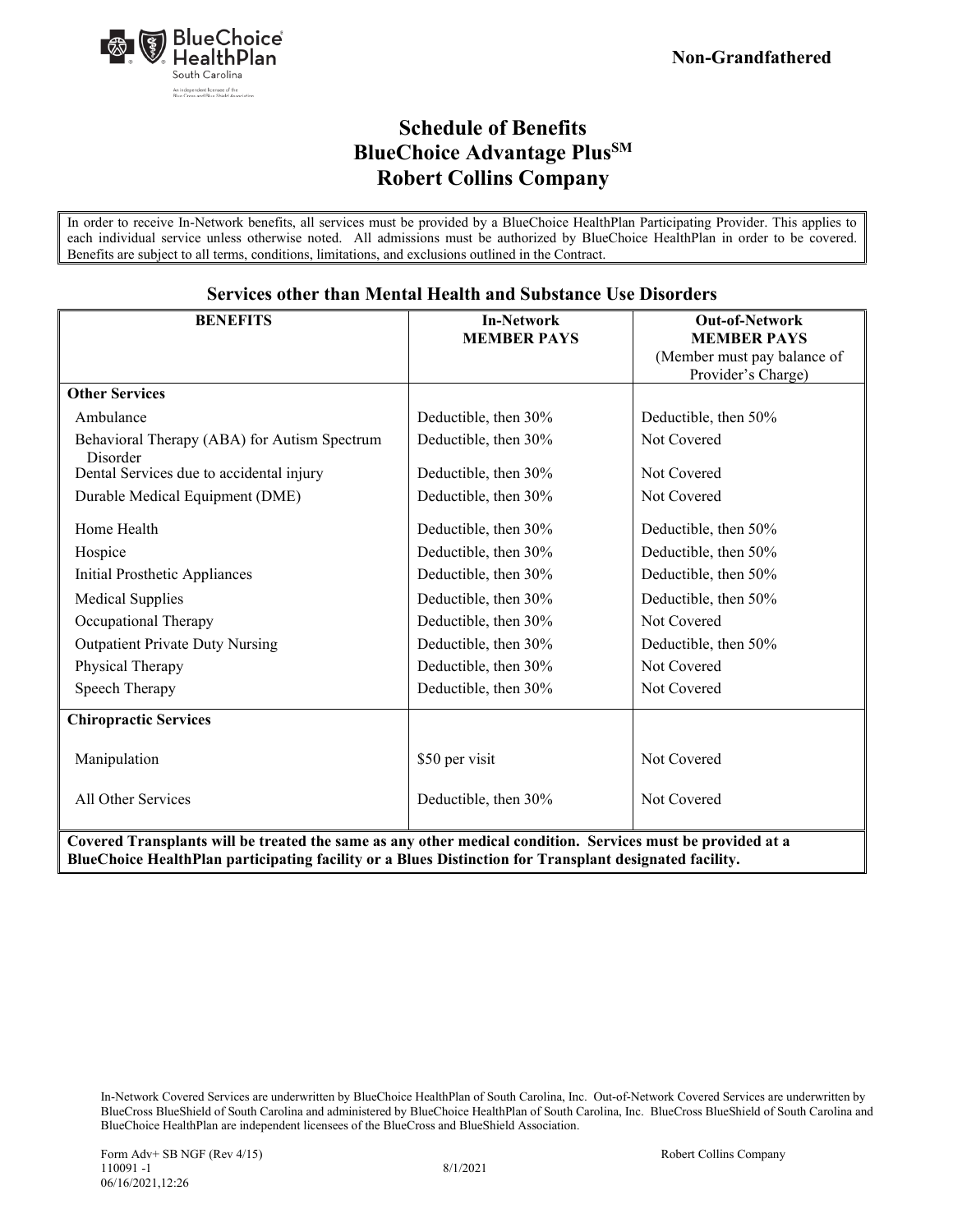

In order to receive In-Network benefits, all services must be provided by a BlueChoice HealthPlan Participating Provider. This applies to each individual service unless otherwise noted. All admissions must be authorized by BlueChoice HealthPlan in order to be covered. Benefits are subject to all terms, conditions, limitations, and exclusions outlined in the Contract.

| <b>BENEFITS</b>                                                                                             | <b>In-Network</b>    | <b>Out-of-Network</b>       |
|-------------------------------------------------------------------------------------------------------------|----------------------|-----------------------------|
|                                                                                                             | <b>MEMBER PAYS</b>   | <b>MEMBER PAYS</b>          |
|                                                                                                             |                      | (Member must pay balance of |
|                                                                                                             |                      | Provider's Charge)          |
| <b>Other Services</b>                                                                                       |                      |                             |
| Ambulance                                                                                                   | Deductible, then 30% | Deductible, then 50%        |
| Behavioral Therapy (ABA) for Autism Spectrum                                                                | Deductible, then 30% | Not Covered                 |
| Disorder                                                                                                    |                      |                             |
| Dental Services due to accidental injury                                                                    | Deductible, then 30% | Not Covered                 |
| Durable Medical Equipment (DME)                                                                             | Deductible, then 30% | Not Covered                 |
| Home Health                                                                                                 | Deductible, then 30% | Deductible, then 50%        |
| Hospice                                                                                                     | Deductible, then 30% | Deductible, then 50%        |
| Initial Prosthetic Appliances                                                                               | Deductible, then 30% | Deductible, then 50%        |
| <b>Medical Supplies</b>                                                                                     | Deductible, then 30% | Deductible, then 50%        |
| Occupational Therapy                                                                                        | Deductible, then 30% | Not Covered                 |
| <b>Outpatient Private Duty Nursing</b>                                                                      | Deductible, then 30% | Deductible, then 50%        |
| Physical Therapy                                                                                            | Deductible, then 30% | Not Covered                 |
| Speech Therapy                                                                                              | Deductible, then 30% | Not Covered                 |
| <b>Chiropractic Services</b>                                                                                |                      |                             |
| Manipulation                                                                                                | \$50 per visit       | Not Covered                 |
|                                                                                                             |                      |                             |
| All Other Services                                                                                          | Deductible, then 30% | Not Covered                 |
|                                                                                                             |                      |                             |
| Covered Transplants will be treated the same as any other medical condition. Services must be provided at a |                      |                             |
| BlueChoice HealthPlan participating facility or a Blues Distinction for Transplant designated facility.     |                      |                             |

#### **Services other than Mental Health and Substance Use Disorders**

In-Network Covered Services are underwritten by BlueChoice HealthPlan of South Carolina, Inc. Out-of-Network Covered Services are underwritten by BlueCross BlueShield of South Carolina and administered by BlueChoice HealthPlan of South Carolina, Inc. BlueCross BlueShield of South Carolina and BlueChoice HealthPlan are independent licensees of the BlueCross and BlueShield Association.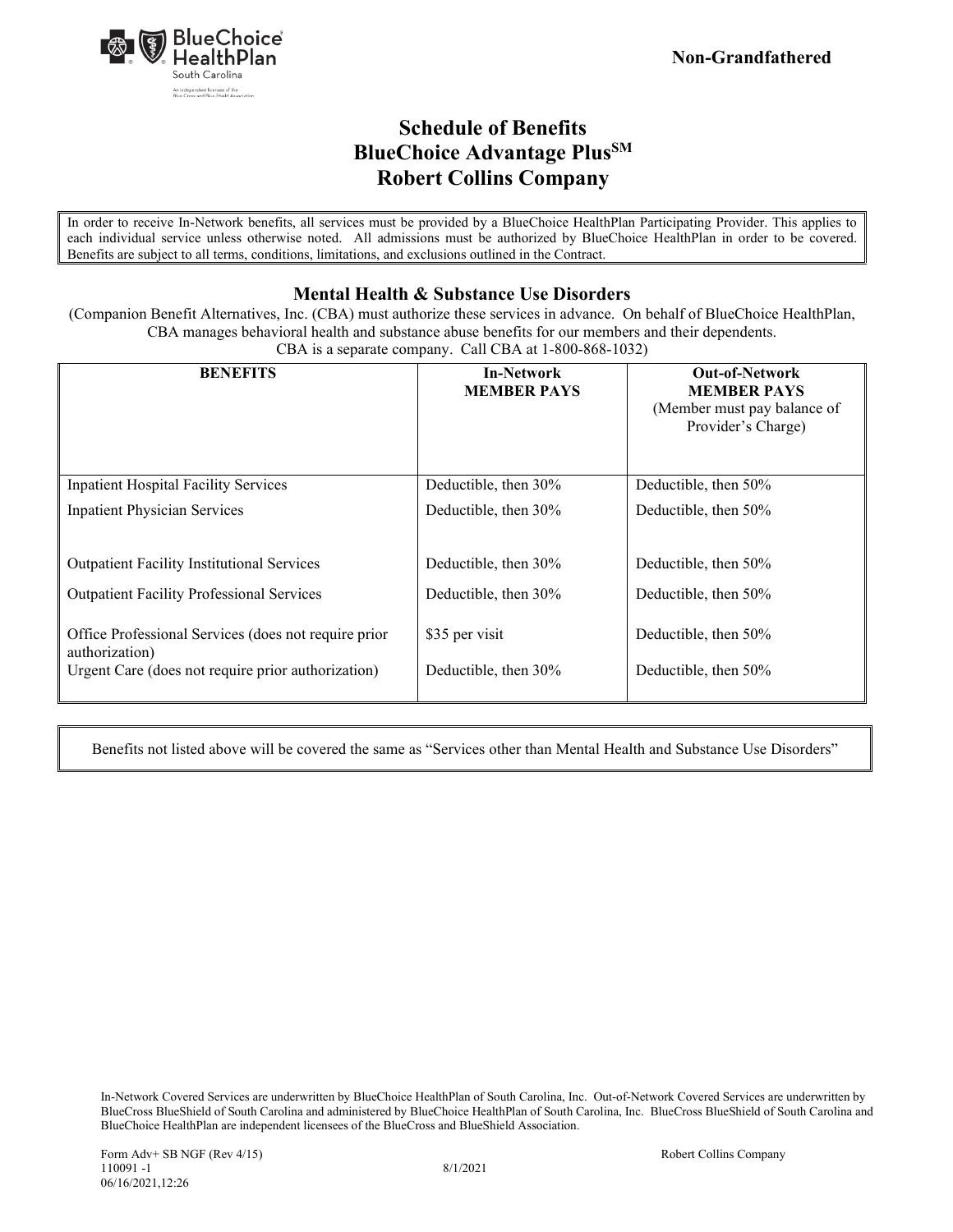

In order to receive In-Network benefits, all services must be provided by a BlueChoice HealthPlan Participating Provider. This applies to each individual service unless otherwise noted. All admissions must be authorized by BlueChoice HealthPlan in order to be covered. Benefits are subject to all terms, conditions, limitations, and exclusions outlined in the Contract.

### **Mental Health & Substance Use Disorders**

(Companion Benefit Alternatives, Inc. (CBA) must authorize these services in advance. On behalf of BlueChoice HealthPlan, CBA manages behavioral health and substance abuse benefits for our members and their dependents. CBA is a separate company. Call CBA at 1-800-868-1032)

| <b>BENEFITS</b>                                                        | <b>In-Network</b><br><b>MEMBER PAYS</b> | <b>Out-of-Network</b><br><b>MEMBER PAYS</b><br>(Member must pay balance of<br>Provider's Charge) |
|------------------------------------------------------------------------|-----------------------------------------|--------------------------------------------------------------------------------------------------|
| <b>Inpatient Hospital Facility Services</b>                            | Deductible, then 30%                    | Deductible, then 50%                                                                             |
| <b>Inpatient Physician Services</b>                                    | Deductible, then 30%                    | Deductible, then 50%                                                                             |
| <b>Outpatient Facility Institutional Services</b>                      | Deductible, then 30%                    | Deductible, then 50%                                                                             |
| <b>Outpatient Facility Professional Services</b>                       | Deductible, then 30%                    | Deductible, then 50%                                                                             |
| Office Professional Services (does not require prior<br>authorization) | \$35 per visit                          | Deductible, then 50%                                                                             |
| Urgent Care (does not require prior authorization)                     | Deductible, then 30%                    | Deductible, then 50%                                                                             |

Benefits not listed above will be covered the same as "Services other than Mental Health and Substance Use Disorders"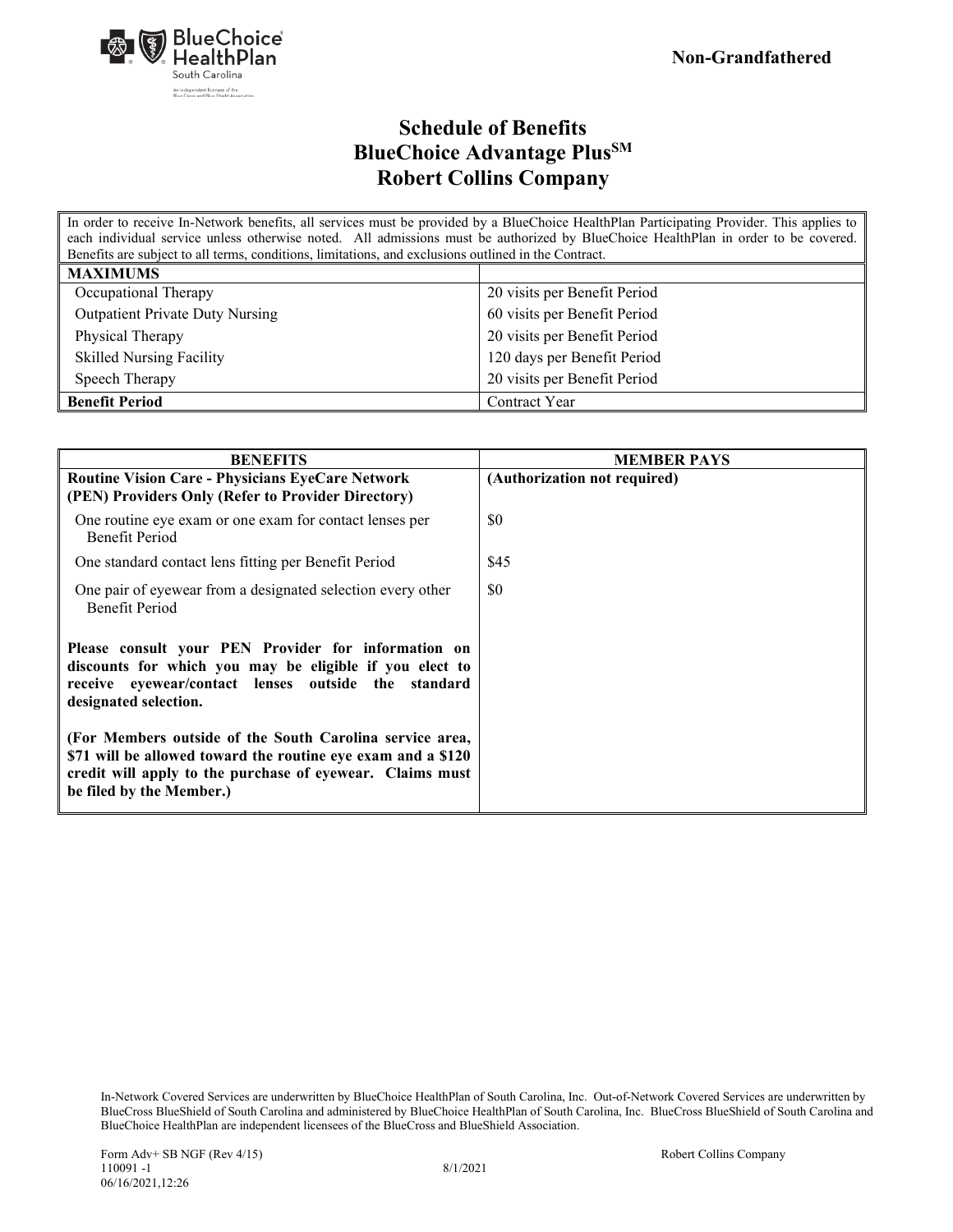

In order to receive In-Network benefits, all services must be provided by a BlueChoice HealthPlan Participating Provider. This applies to each individual service unless otherwise noted. All admissions must be authorized by BlueChoice HealthPlan in order to be covered. Benefits are subject to all terms, conditions, limitations, and exclusions outlined in the Contract.

| <b>MAXIMUMS</b>                        |                              |
|----------------------------------------|------------------------------|
| Occupational Therapy                   | 20 visits per Benefit Period |
| <b>Outpatient Private Duty Nursing</b> | 60 visits per Benefit Period |
| Physical Therapy                       | 20 visits per Benefit Period |
| <b>Skilled Nursing Facility</b>        | 120 days per Benefit Period  |
| Speech Therapy                         | 20 visits per Benefit Period |
| <b>Benefit Period</b>                  | Contract Year                |

| <b>BENEFITS</b>                                                                                                                                                                                                   | <b>MEMBER PAYS</b>           |
|-------------------------------------------------------------------------------------------------------------------------------------------------------------------------------------------------------------------|------------------------------|
| <b>Routine Vision Care - Physicians EyeCare Network</b><br>(PEN) Providers Only (Refer to Provider Directory)                                                                                                     | (Authorization not required) |
| One routine eye exam or one exam for contact lenses per<br><b>Benefit Period</b>                                                                                                                                  | \$0                          |
| One standard contact lens fitting per Benefit Period                                                                                                                                                              | \$45                         |
| One pair of eyewear from a designated selection every other<br><b>Benefit Period</b>                                                                                                                              | \$0                          |
| Please consult your PEN Provider for information on<br>discounts for which you may be eligible if you elect to<br>receive eyewear/contact lenses outside the standard<br>designated selection.                    |                              |
| (For Members outside of the South Carolina service area,<br>\$71 will be allowed toward the routine eye exam and a \$120<br>credit will apply to the purchase of eyewear. Claims must<br>be filed by the Member.) |                              |

In-Network Covered Services are underwritten by BlueChoice HealthPlan of South Carolina, Inc. Out-of-Network Covered Services are underwritten by BlueCross BlueShield of South Carolina and administered by BlueChoice HealthPlan of South Carolina, Inc. BlueCross BlueShield of South Carolina and BlueChoice HealthPlan are independent licensees of the BlueCross and BlueShield Association.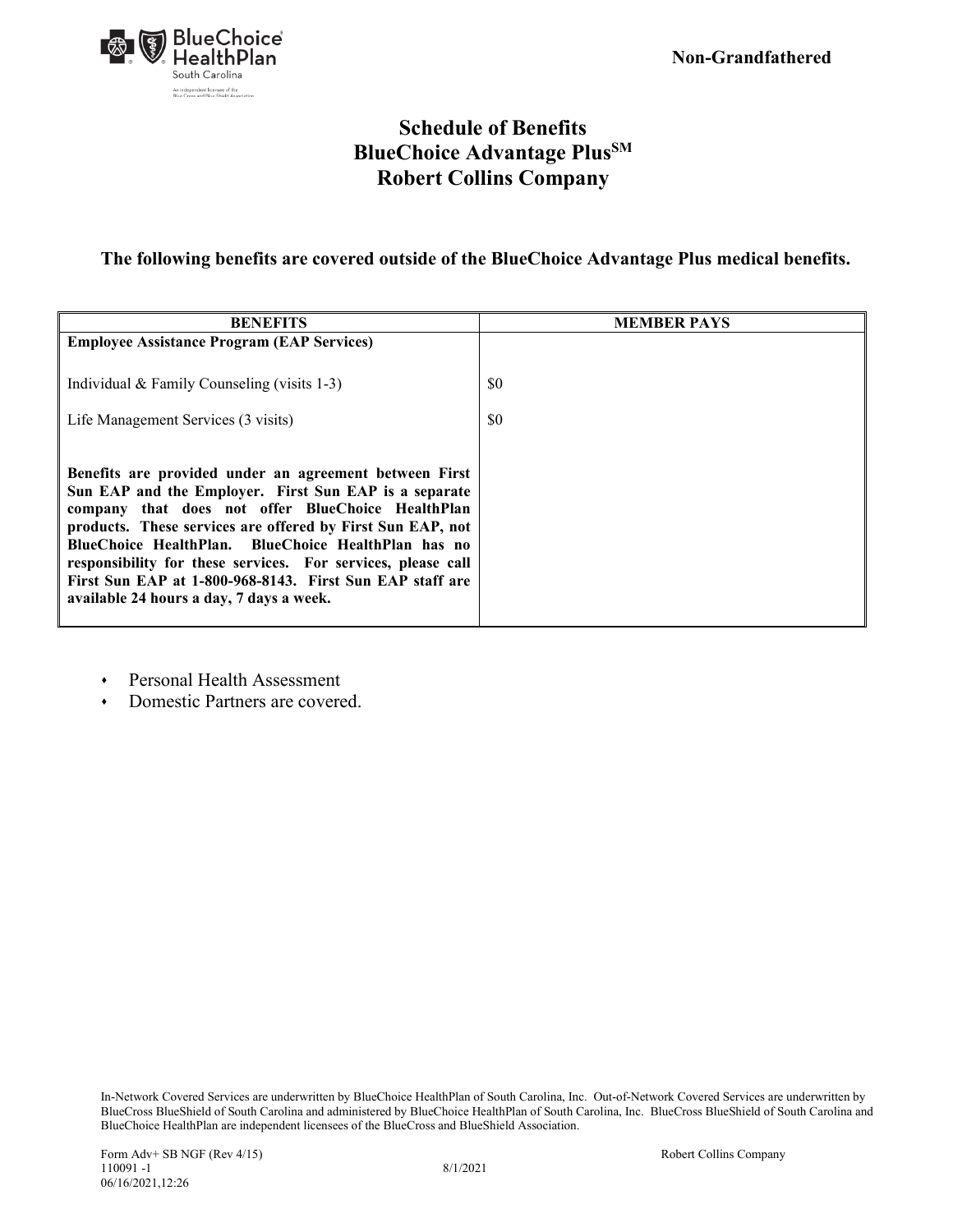

### **The following benefits are covered outside of the BlueChoice Advantage Plus medical benefits.**

| <b>BENEFITS</b>                                                                                                                                                                                                                                                                                                                                                                                                                                                   | <b>MEMBER PAYS</b> |
|-------------------------------------------------------------------------------------------------------------------------------------------------------------------------------------------------------------------------------------------------------------------------------------------------------------------------------------------------------------------------------------------------------------------------------------------------------------------|--------------------|
| <b>Employee Assistance Program (EAP Services)</b>                                                                                                                                                                                                                                                                                                                                                                                                                 |                    |
| Individual & Family Counseling (visits 1-3)                                                                                                                                                                                                                                                                                                                                                                                                                       | \$0                |
| Life Management Services (3 visits)                                                                                                                                                                                                                                                                                                                                                                                                                               | \$0                |
| Benefits are provided under an agreement between First<br>Sun EAP and the Employer. First Sun EAP is a separate<br>company that does not offer BlueChoice HealthPlan<br>products. These services are offered by First Sun EAP, not<br>BlueChoice HealthPlan. BlueChoice HealthPlan has no<br>responsibility for these services. For services, please call<br>First Sun EAP at 1-800-968-8143. First Sun EAP staff are<br>available 24 hours a day, 7 days a week. |                    |

- Personal Health Assessment
- Domestic Partners are covered.